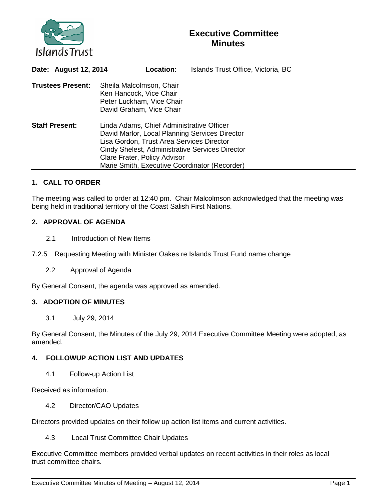

## **Executive Committee Minutes**

| Date: August 12, 2014    |                                                                                                                                                                                                                                                                              | Location:                 | Islands Trust Office, Victoria, BC |
|--------------------------|------------------------------------------------------------------------------------------------------------------------------------------------------------------------------------------------------------------------------------------------------------------------------|---------------------------|------------------------------------|
| <b>Trustees Present:</b> | Sheila Malcolmson, Chair<br>Ken Hancock, Vice Chair<br>David Graham, Vice Chair                                                                                                                                                                                              | Peter Luckham, Vice Chair |                                    |
| <b>Staff Present:</b>    | Linda Adams, Chief Administrative Officer<br>David Marlor, Local Planning Services Director<br>Lisa Gordon, Trust Area Services Director<br>Cindy Shelest, Administrative Services Director<br>Clare Frater, Policy Advisor<br>Marie Smith, Executive Coordinator (Recorder) |                           |                                    |

## **1. CALL TO ORDER**

The meeting was called to order at 12:40 pm. Chair Malcolmson acknowledged that the meeting was being held in traditional territory of the Coast Salish First Nations.

## **2. APPROVAL OF AGENDA**

2.1 Introduction of New Items

7.2.5 Requesting Meeting with Minister Oakes re Islands Trust Fund name change

2.2 Approval of Agenda

By General Consent, the agenda was approved as amended.

## **3. ADOPTION OF MINUTES**

3.1 July 29, 2014

By General Consent, the Minutes of the July 29, 2014 Executive Committee Meeting were adopted, as amended.

## **4. FOLLOWUP ACTION LIST AND UPDATES**

4.1 Follow-up Action List

Received as information.

4.2 Director/CAO Updates

Directors provided updates on their follow up action list items and current activities.

4.3 Local Trust Committee Chair Updates

Executive Committee members provided verbal updates on recent activities in their roles as local trust committee chairs.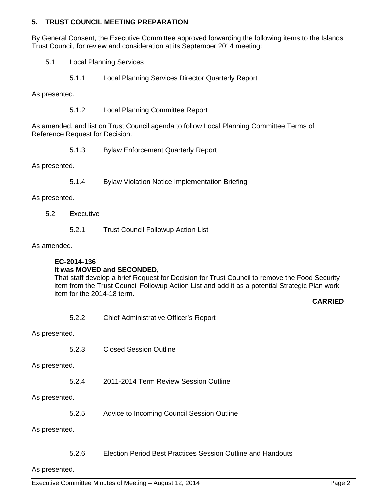## **5. TRUST COUNCIL MEETING PREPARATION**

By General Consent, the Executive Committee approved forwarding the following items to the Islands Trust Council, for review and consideration at its September 2014 meeting:

- 5.1 Local Planning Services
	- 5.1.1 Local Planning Services Director Quarterly Report

As presented.

5.1.2 Local Planning Committee Report

As amended, and list on Trust Council agenda to follow Local Planning Committee Terms of Reference Request for Decision.

5.1.3 Bylaw Enforcement Quarterly Report

As presented.

5.1.4 Bylaw Violation Notice Implementation Briefing

As presented.

- 5.2 Executive
	- 5.2.1 Trust Council Followup Action List

As amended.

# **EC-2014-136**

**It was MOVED and SECONDED,**

That staff develop a brief Request for Decision for Trust Council to remove the Food Security item from the Trust Council Followup Action List and add it as a potential Strategic Plan work item for the 2014-18 term.

## **CARRIED**

5.2.2 Chief Administrative Officer's Report

As presented.

5.2.3 Closed Session Outline

As presented.

5.2.4 2011-2014 Term Review Session Outline

As presented.

5.2.5 Advice to Incoming Council Session Outline

As presented.

5.2.6 Election Period Best Practices Session Outline and Handouts

#### As presented.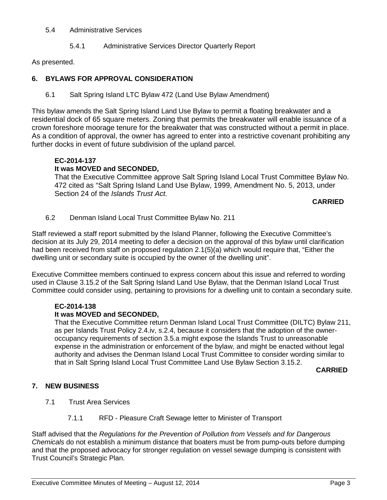#### 5.4 Administrative Services

5.4.1 Administrative Services Director Quarterly Report

As presented.

## **6. BYLAWS FOR APPROVAL CONSIDERATION**

6.1 Salt Spring Island LTC Bylaw 472 (Land Use Bylaw Amendment)

This bylaw amends the Salt Spring Island Land Use Bylaw to permit a floating breakwater and a residential dock of 65 square meters. Zoning that permits the breakwater will enable issuance of a crown foreshore moorage tenure for the breakwater that was constructed without a permit in place. As a condition of approval, the owner has agreed to enter into a restrictive covenant prohibiting any further docks in event of future subdivision of the upland parcel.

## **EC-2014-137**

## **It was MOVED and SECONDED,**

That the Executive Committee approve Salt Spring Island Local Trust Committee Bylaw No. 472 cited as "Salt Spring Island Land Use Bylaw, 1999, Amendment No. 5, 2013, under Section 24 of the *Islands Trust Act.*

#### **CARRIED**

6.2 Denman Island Local Trust Committee Bylaw No. 211

Staff reviewed a staff report submitted by the Island Planner, following the Executive Committee's decision at its July 29, 2014 meeting to defer a decision on the approval of this bylaw until clarification had been received from staff on proposed regulation 2.1(5)(a) which would require that, "Either the dwelling unit or secondary suite is occupied by the owner of the dwelling unit".

Executive Committee members continued to express concern about this issue and referred to wording used in Clause 3.15.2 of the Salt Spring Island Land Use Bylaw, that the Denman Island Local Trust Committee could consider using, pertaining to provisions for a dwelling unit to contain a secondary suite.

## **EC-2014-138**

## **It was MOVED and SECONDED,**

That the Executive Committee return Denman Island Local Trust Committee (DILTC) Bylaw 211, as per Islands Trust Policy 2.4.iv, s.2.4, because it considers that the adoption of the owneroccupancy requirements of section 3.5.a might expose the Islands Trust to unreasonable expense in the administration or enforcement of the bylaw, and might be enacted without legal authority and advises the Denman Island Local Trust Committee to consider wording similar to that in Salt Spring Island Local Trust Committee Land Use Bylaw Section 3.15.2.

#### **CARRIED**

## **7. NEW BUSINESS**

- 7.1 Trust Area Services
	- 7.1.1 RFD Pleasure Craft Sewage letter to Minister of Transport

Staff advised that the *Regulations for the Prevention of Pollution from Vessels and for Dangerous Chemicals* do not establish a minimum distance that boaters must be from pump-outs before dumping and that the proposed advocacy for stronger regulation on vessel sewage dumping is consistent with Trust Council's Strategic Plan.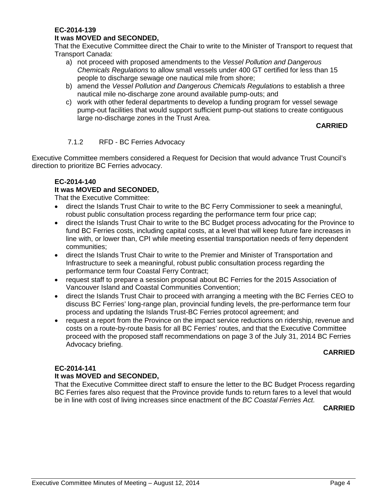## **EC-2014-139**

## **It was MOVED and SECONDED,**

That the Executive Committee direct the Chair to write to the Minister of Transport to request that Transport Canada:

- a) not proceed with proposed amendments to the *Vessel Pollution and Dangerous Chemicals Regulations* to allow small vessels under 400 GT certified for less than 15 people to discharge sewage one nautical mile from shore;
- b) amend the *Vessel Pollution and Dangerous Chemicals Regulations* to establish a three nautical mile no-discharge zone around available pump-outs; and
- c) work with other federal departments to develop a funding program for vessel sewage pump-out facilities that would support sufficient pump-out stations to create contiguous large no-discharge zones in the Trust Area.

## **CARRIED**

## 7.1.2 RFD - BC Ferries Advocacy

Executive Committee members considered a Request for Decision that would advance Trust Council's direction to prioritize BC Ferries advocacy.

## **EC-2014-140**

## **It was MOVED and SECONDED,**

That the Executive Committee:

- direct the Islands Trust Chair to write to the BC Ferry Commissioner to seek a meaningful, robust public consultation process regarding the performance term four price cap;
- direct the Islands Trust Chair to write to the BC Budget process advocating for the Province to fund BC Ferries costs, including capital costs, at a level that will keep future fare increases in line with, or lower than, CPI while meeting essential transportation needs of ferry dependent communities;
- direct the Islands Trust Chair to write to the Premier and Minister of Transportation and Infrastructure to seek a meaningful, robust public consultation process regarding the performance term four Coastal Ferry Contract;
- request staff to prepare a session proposal about BC Ferries for the 2015 Association of Vancouver Island and Coastal Communities Convention;
- direct the Islands Trust Chair to proceed with arranging a meeting with the BC Ferries CEO to discuss BC Ferries' long-range plan, provincial funding levels, the pre-performance term four process and updating the Islands Trust-BC Ferries protocol agreement; and
- request a report from the Province on the impact service reductions on ridership, revenue and costs on a route-by-route basis for all BC Ferries' routes, and that the Executive Committee proceed with the proposed staff recommendations on page 3 of the July 31, 2014 BC Ferries Advocacy briefing.

## **CARRIED**

## **EC-2014-141**

## **It was MOVED and SECONDED,**

That the Executive Committee direct staff to ensure the letter to the BC Budget Process regarding BC Ferries fares also request that the Province provide funds to return fares to a level that would be in line with cost of living increases since enactment of the *BC Coastal Ferries Act.*

**CARRIED**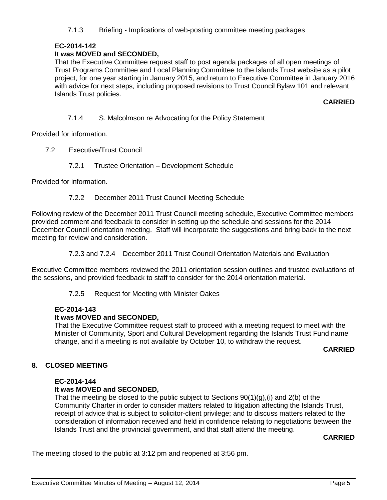7.1.3 Briefing - Implications of web-posting committee meeting packages

## **EC-2014-142**

## **It was MOVED and SECONDED,**

That the Executive Committee request staff to post agenda packages of all open meetings of Trust Programs Committee and Local Planning Committee to the Islands Trust website as a pilot project, for one year starting in January 2015, and return to Executive Committee in January 2016 with advice for next steps, including proposed revisions to Trust Council Bylaw 101 and relevant Islands Trust policies.

**CARRIED**

7.1.4 S. Malcolmson re Advocating for the Policy Statement

Provided for information.

- 7.2 Executive/Trust Council
	- 7.2.1 Trustee Orientation Development Schedule

Provided for information.

7.2.2 December 2011 Trust Council Meeting Schedule

Following review of the December 2011 Trust Council meeting schedule, Executive Committee members provided comment and feedback to consider in setting up the schedule and sessions for the 2014 December Council orientation meeting. Staff will incorporate the suggestions and bring back to the next meeting for review and consideration.

7.2.3 and 7.2.4 December 2011 Trust Council Orientation Materials and Evaluation

Executive Committee members reviewed the 2011 orientation session outlines and trustee evaluations of the sessions, and provided feedback to staff to consider for the 2014 orientation material.

7.2.5 Request for Meeting with Minister Oakes

## **EC-2014-143**

#### **It was MOVED and SECONDED,**

That the Executive Committee request staff to proceed with a meeting request to meet with the Minister of Community, Sport and Cultural Development regarding the Islands Trust Fund name change, and if a meeting is not available by October 10, to withdraw the request.

**CARRIED**

## **8. CLOSED MEETING**

#### **EC-2014-144**

## **It was MOVED and SECONDED,**

That the meeting be closed to the public subject to Sections  $90(1)(q)$ , (i) and  $2(b)$  of the Community Charter in order to consider matters related to litigation affecting the Islands Trust, receipt of advice that is subject to solicitor-client privilege; and to discuss matters related to the consideration of information received and held in confidence relating to negotiations between the Islands Trust and the provincial government, and that staff attend the meeting.

## **CARRIED**

The meeting closed to the public at 3:12 pm and reopened at 3:56 pm.